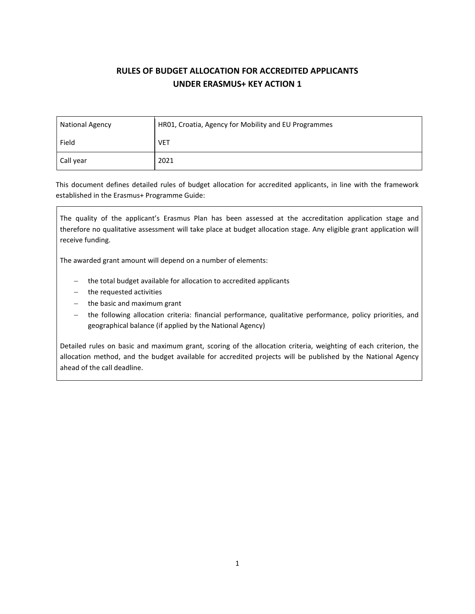# **RULES OF BUDGET ALLOCATION FOR ACCREDITED APPLICANTS UNDER ERASMUS+ KEY ACTION 1**

| <b>National Agency</b> | HR01, Croatia, Agency for Mobility and EU Programmes |  |  |  |
|------------------------|------------------------------------------------------|--|--|--|
| Field                  | <b>VET</b>                                           |  |  |  |
| Call year              | 2021                                                 |  |  |  |

This document defines detailed rules of budget allocation for accredited applicants, in line with the framework established in the Erasmus+ Programme Guide:

The quality of the applicant's Erasmus Plan has been assessed at the accreditation application stage and therefore no qualitative assessment will take place at budget allocation stage. Any eligible grant application will receive funding.

The awarded grant amount will depend on a number of elements:

- − the total budget available for allocation to accredited applicants
- − the requested activities
- − the basic and maximum grant
- the following allocation criteria: financial performance, qualitative performance, policy priorities, and geographical balance (if applied by the National Agency)

Detailed rules on basic and maximum grant, scoring of the allocation criteria, weighting of each criterion, the allocation method, and the budget available for accredited projects will be published by the National Agency ahead of the call deadline.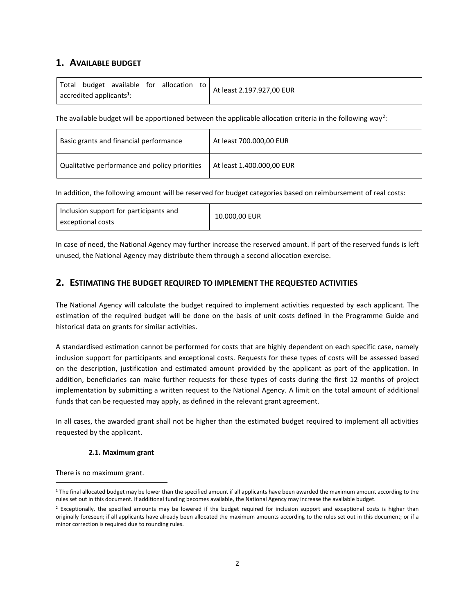# **1. AVAILABLE BUDGET**

|                                                 |  |  |  | Total budget available for allocation to | At least 2.197.927,00 EUR |
|-------------------------------------------------|--|--|--|------------------------------------------|---------------------------|
| $\sqrt{ }$ accredited applicants <sup>1</sup> : |  |  |  |                                          |                           |

The available budget will be apportioned between the applicable allocation criteria in the following way<sup>2</sup>:

| Basic grants and financial performance        | At least 700.000,00 EUR   |
|-----------------------------------------------|---------------------------|
| Qualitative performance and policy priorities | At least 1.400.000,00 EUR |

In addition, the following amount will be reserved for budget categories based on reimbursement of real costs:

In case of need, the National Agency may further increase the reserved amount. If part of the reserved funds is left unused, the National Agency may distribute them through a second allocation exercise.

# **2. ESTIMATING THE BUDGET REQUIRED TO IMPLEMENT THE REQUESTED ACTIVITIES**

The National Agency will calculate the budget required to implement activities requested by each applicant. The estimation of the required budget will be done on the basis of unit costs defined in the Programme Guide and historical data on grants for similar activities.

A standardised estimation cannot be performed for costs that are highly dependent on each specific case, namely inclusion support for participants and exceptional costs. Requests for these types of costs will be assessed based on the description, justification and estimated amount provided by the applicant as part of the application. In addition, beneficiaries can make further requests for these types of costs during the first 12 months of project implementation by submitting a written request to the National Agency. A limit on the total amount of additional funds that can be requested may apply, as defined in the relevant grant agreement.

In all cases, the awarded grant shall not be higher than the estimated budget required to implement all activities requested by the applicant.

## **2.1. Maximum grant**

There is no maximum grant.

 $1$  The final allocated budget may be lower than the specified amount if all applicants have been awarded the maximum amount according to the rules set out in this document. If additional funding becomes available, the National Agency may increase the available budget.

 $2$  Exceptionally, the specified amounts may be lowered if the budget required for inclusion support and exceptional costs is higher than originally foreseen; if all applicants have already been allocated the maximum amounts according to the rules set out in this document; or if a minor correction is required due to rounding rules.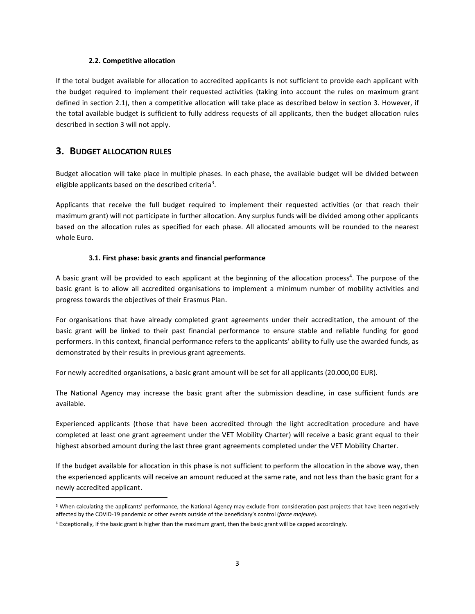#### **2.2. Competitive allocation**

If the total budget available for allocation to accredited applicants is not sufficient to provide each applicant with the budget required to implement their requested activities (taking into account the rules on maximum grant defined in section 2.1), then a competitive allocation will take place as described below in section 3. However, if the total available budget is sufficient to fully address requests of all applicants, then the budget allocation rules described in section 3 will not apply.

## **3. BUDGET ALLOCATION RULES**

Budget allocation will take place in multiple phases. In each phase, the available budget will be divided between eligible applicants based on the described criteria<sup>3</sup>.

Applicants that receive the full budget required to implement their requested activities (or that reach their maximum grant) will not participate in further allocation. Any surplus funds will be divided among other applicants based on the allocation rules as specified for each phase. All allocated amounts will be rounded to the nearest whole Euro.

#### **3.1. First phase: basic grants and financial performance**

A basic grant will be provided to each applicant at the beginning of the allocation process<sup>4</sup>. The purpose of the basic grant is to allow all accredited organisations to implement a minimum number of mobility activities and progress towards the objectives of their Erasmus Plan.

For organisations that have already completed grant agreements under their accreditation, the amount of the basic grant will be linked to their past financial performance to ensure stable and reliable funding for good performers. In this context, financial performance refers to the applicants' ability to fully use the awarded funds, as demonstrated by their results in previous grant agreements.

For newly accredited organisations, a basic grant amount will be set for all applicants (20.000,00 EUR).

The National Agency may increase the basic grant after the submission deadline, in case sufficient funds are available.

Experienced applicants (those that have been accredited through the light accreditation procedure and have completed at least one grant agreement under the VET Mobility Charter) will receive a basic grant equal to their highest absorbed amount during the last three grant agreements completed under the VET Mobility Charter.

If the budget available for allocation in this phase is not sufficient to perform the allocation in the above way, then the experienced applicants will receive an amount reduced at the same rate, and not less than the basic grant for a newly accredited applicant.

<sup>&</sup>lt;sup>3</sup> When calculating the applicants' performance, the National Agency may exclude from consideration past projects that have been negatively affected by the COVID-19 pandemic or other events outside of the beneficiary's control (*force majeure*).

 $4$  Exceptionally, if the basic grant is higher than the maximum grant, then the basic grant will be capped accordingly.